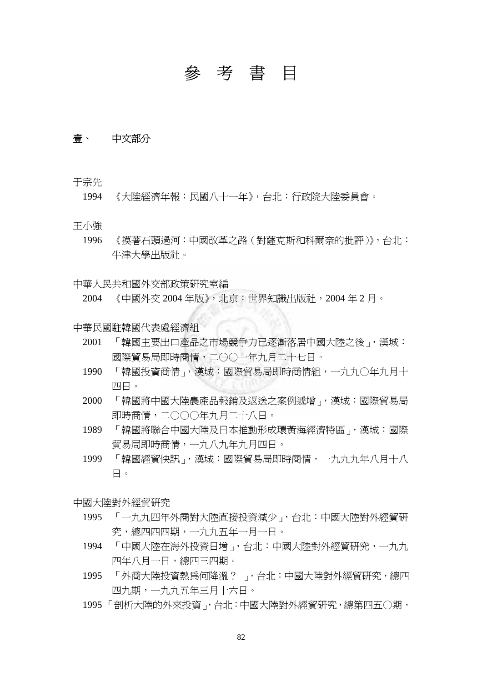# 參考書目

# 壹、 中文部分

于宗先

1994 《大陸經濟年報:民國八十一年》,台北:行政院大陸委員會。

王小強

1996 《摸著石頭過河:中國改革之路(對薩克斯和科爾奈的批評)》,台北: 牛津大學出版社。

中華人民共和國外交部政策研究室編

2004 《中國外交 2004 年版》,北京:世界知識出版社,2004 年 2 月。

中華民國駐韓國代表處經濟組

- 2001 「韓國主要出口產品之市場競爭力已逐漸落居中國大陸之後」,漢城: 國際貿易局即時商情,二○○一年九月二十七日。
- 1990 「韓國投資商情」, 漢城:國際貿易局即時商情組, 一九九〇年九月十 四日。
- 2000 「韓國將中國大陸農產品報銷及返送之案例遞增」,漢城:國際貿易局 即時商情,二○○○年九月二十八日。
- 1989 「韓國將聯合中國大陸及日本推動形成環黃海經濟特區」,漢城:國際 貿易局即時商情,一九八九年九月四日。
- 1999 「韓國經貿快訊」,漢城:國際貿易局即時商情,一九九九年八月十八 日。

中國大陸對外經貿研究

- 1995 「一九九四年外商對大陸直接投資減少」,台北:中國大陸對外經貿研 究,總四四四期,一九九五年一月一日。
- 1994 「中國大陸在海外投資日增」,台北:中國大陸對外經貿研究,一九九 四年八月一日,總四三四期。
- 1995 「外商大陸投資熱為何降溫?」,台北:中國大陸對外經貿研究,總四 四九期,一九九五年三月十六日。
- 1995 「剖析大陸的外來投資」,台北:中國大陸對外經貿研究,總第四五○期,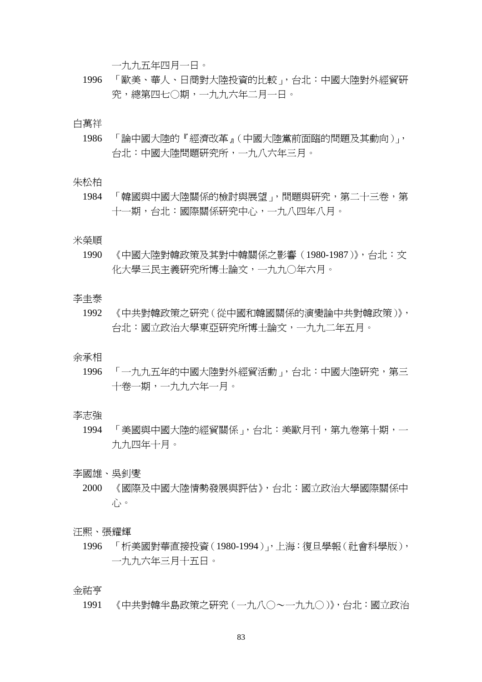一九九五年四月一日。

1996 「歐美、華人、日商對大陸投資的比較」,台北:中國大陸對外經貿研 究,總第四七○期,一九九六年二月一日。

白萬祥

1986 「論中國大陸的『經濟改革』(中國大陸黨前面臨的問題及其動向)」, 台北:中國大陸問題研究所,一九八六年三月。

朱松柏

1984 「韓國與中國大陸關係的檢討與展望」,問題與研究,第二十三卷,第 十一期,台北:國際關係研究中心,一九八四年八月。

## 米榮順

1990 《中國大陸對韓政策及其對中韓關係之影響(1980-1987)》,台北:文 化大學三民主義研究所博士論文,一九九○年六月。

# 李圭泰

1992 《中共對韓政策之研究(從中國和韓國關係的演變論中共對韓政策)》, 台北:國立政治大學東亞研究所博士論文,一九九二年五月。

#### 余承相

1996 「一九九五年的中國大陸對外經貿活動」,台北:中國大陸研究,第三 十卷一期,一九九六年一月。

## 李志強

1994 「美國與中國大陸的經貿關係」,台北:美歐月刊,第九卷第十期,一 九九四年十月。

李國雄、吳釗燮

2000 《國際及中國大陸情勢發展與評估》,台北:國立政治大學國際關係中 心。

#### 汪熙、張耀輝

1996 「析美國對華直接投資(1980-1994)」,上海:復旦學報(社會科學版), 一九九六年三月十五日。

金祐亨

1991 《中共對韓半島政策之研究(一九八○~一九九○)》,台北:國立政治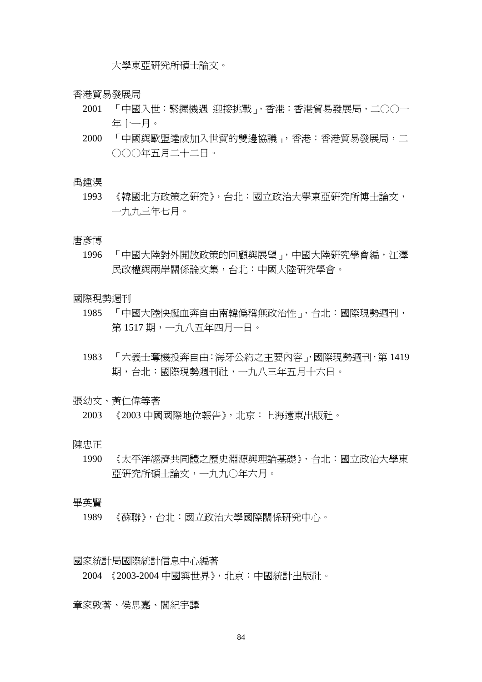大學東亞研究所碩士論文。

香港貿易發展局

- 2001 「中國入世:緊握機遇 迎接挑戰」,香港:香港貿易發展局,二○○一 年十一月。
- 2000 「中國與歐盟達成加入世貿的雙邊協議」,香港:香港貿易發展局,二 ○○○年五月二十二日。

禹鍾淏

1993 《韓國北方政策之研究》,台北:國立政治大學東亞研究所博士論文, 一九九三年七月。

唐彥博

1996 「中國大陸對外開放政策的回顧與展望」,中國大陸研究學會編,江澤 民政權與兩岸關係論文集,台北:中國大陸研究學會。

國際現勢週刊

- 1985 「中國大陸快艇血奔自由南韓偽稱無政治性」,台北:國際現勢週刊, 第 1517 期,一九八五年四月一日。
- 1983 「六義士奪機投奔自由:海牙公約之主要內容」,國際現勢週刊,第 1419 期,台北:國際現勢週刊社,一九八三年五月十六日。

張幼文、黃仁偉等著

2003 《2003 中國國際地位報告》,北京:上海遠東出版社。

陳忠正

1990 《太平洋經濟共同體之歷史淵源與理論基礎》,台北:國立政治大學東 亞研究所碩士論文,一九九○年六月。

畢英賢

1989 《蘇聯》,台北:國立政治大學國際關係研究中心。

國家統計局國際統計信息中心編著

2004 《2003-2004 中國與世界》,北京:中國統計出版社。

章家敦著、侯思嘉、閻紀宇譯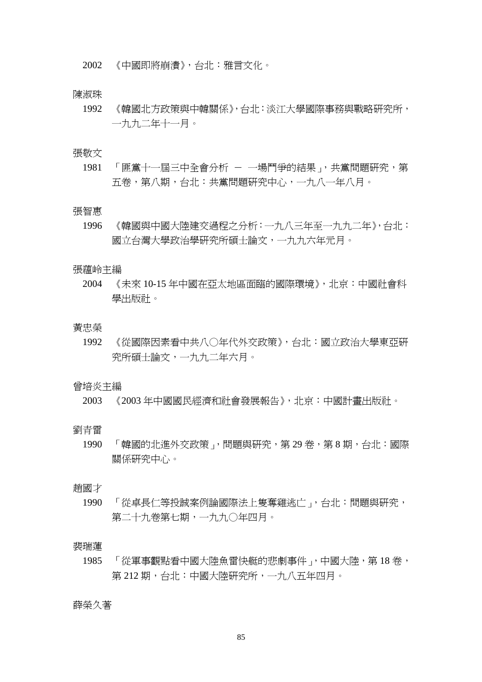2002 《中國即將崩潰》,台北:雅言文化。

# 陳淑珠

1992 《韓國北方政策與中韓關係》,台北:淡江大學國際事務與戰略研究所, 一九九二年十一月。

#### 張敬文

1981 「匪黨十一屆三中全會分析 - 一場鬥爭的結果」,共黨問題研究,第 五卷,第八期,台北:共黨問題研究中心,一九八一年八月。

#### 張智惠

1996 《韓國與中國大陸建交過程之分析:一九八三年至一九九二年》,台北: 國立台灣大學政治學研究所碩士論文,一九九六年元月。

## 張蘊岭主編

2004 《未來 10-15 年中國在亞太地區面臨的國際環境》,北京:中國社會科 學出版社。

#### 黃忠榮

1992 《從國際因素看中共八○年代外交政策》,台北:國立政治大學東亞研 究所碩士論文,一九九二年六月。

# 曾培炎主編

2003 《2003 年中國國民經濟和社會發展報告》,北京:中國計畫出版社。

劉青雷

1990 「韓國的北進外交政策」,問題與研究,第 29 卷,第 8 期,台北:國際 關係研究中心。

#### 趙國才

1990 「從卓長仁等投誠案例論國際法上隻奪雞逃亡」,台北:問題與研究, 第二十九卷第七期,一九九○年四月。

#### 裴瑞蓮

1985 「 從軍事觀點看中國大陸魚雷快艇的悲劇事件」,中國大陸,第18卷, 第 212 期,台北:中國大陸研究所,一九八五年四月。

#### 薛榮久著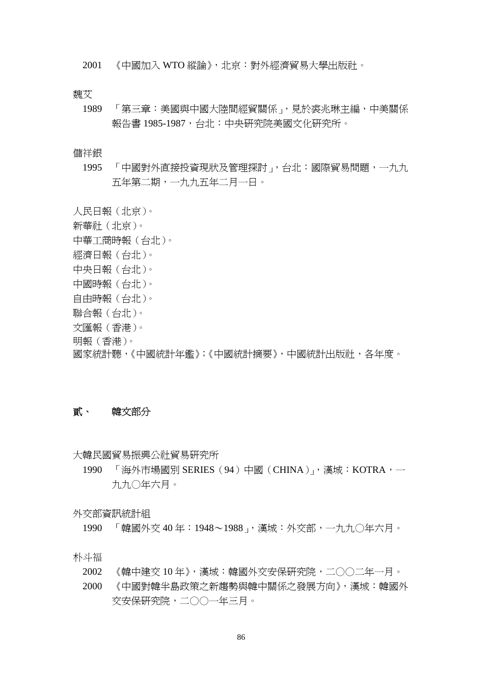2001 《中國加入 WTO 縱論》,北京:對外經濟貿易大學出版社。

魏艾

1989 「第三章:美國與中國大陸間經貿關係」,見於裘兆琳主編,中美關係 報告書 1985-1987,台北:中央研究院美國文化研究所。

## 儲祥銀

1995 「中國對外直接投資現狀及管理探討」,台北:國際貿易問題,一九九 五年第二期,一九九五年二月一日。

人民日報(北京)。 新華社(北京)。 中華工商時報(台北)。 經濟日報(台北)。 中央日報(台北)。 中國時報(台北)。 自由時報(台北)。 聯合報(台北)。 文匯報(香港)。 明報(香港)。 國家統計聽,《中國統計年鑑》;《中國統計摘要》,中國統計出版社,各年度。

# 貳、 韓文部分

大韓民國貿易振興公社貿易研究所

1990 「海外市場國別 SERIES(94)中國(CHINA)」,漢城: KOTRA, 一 九九○年六月。

外交部資訊統計組

1990 「韓國外交 40 年:1948~1988」,漢城:外交部,一九九○年六月。

朴斗福

- 2002 《韓中建交 10 年》,漢城:韓國外交安保研究院,二○○二年一月。
- 2000 《中國對韓半島政策之新趨勢與韓中關係之發展方向》,漢城:韓國外 交安保研究院,二○○一年三月。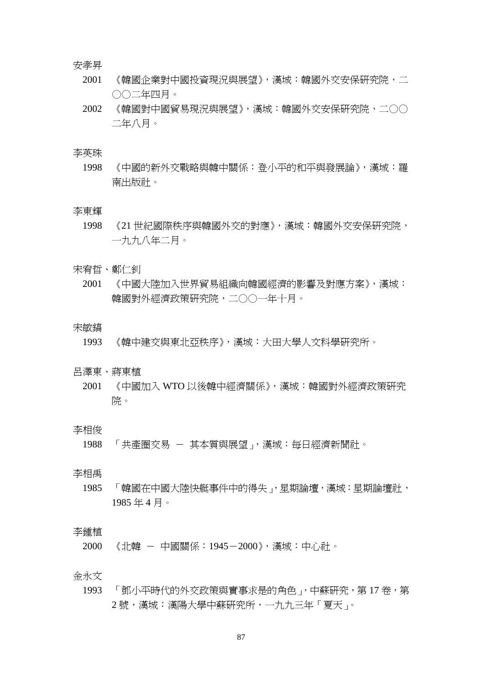安孝昇

- 2001 《韓國企業對中國投資現況與展望》,漢城:韓國外交安保研究院,二 ○○二年四月。
- 2002 《韓國對中國貿易現況與展望》,漢城:韓國外交安保研究院,二○○ 二年八月。

#### 李英珠

1998 《中國的新外交戰略與韓中關係:登小平的和平與發展論》,漢城:羅 南出版社。

#### 李東輝

- 1998 《21 世紀國際秩序與韓國外交的對應》,漢城:韓國外交安保研究院, 一九九八年二月。
- 宋宥哲、鄭仁釗
	- 2001 《中國大陸加入世界貿易組織向韓國經濟的影響及對應方案》,漢城: 韓國對外經濟政策研究院,二○○一年十月。

#### 宋敏鎬

1993 《韓中建交與東北亞秩序》,漢城:大田大學人文科學研究所。

## 呂澤東、蔣東植

2001 《中國加入 WTO 以後韓中經濟關係》,漢城:韓國對外經濟政策研究 院。

## 李相俊

1988 「共產圈交易 - 其本質與展望」,漢城:每日經濟新聞社。

# 李相禹

1985 「 韓國在中國大陸快艇事件中的得失 ,, 星期論壇, 漢城: 星期論壇社, 1985 年 4 月。

# 李鍾植

2000 《北韓 - 中國關係:1945-2000》,漢城:中心社。

#### 金永文

1993 「鄧小平時代的外交政策與實事求是的角色」,中蘇研究,第17卷,第 2 號,漢城:漢陽大學中蘇研究所,一九九三年「夏天」。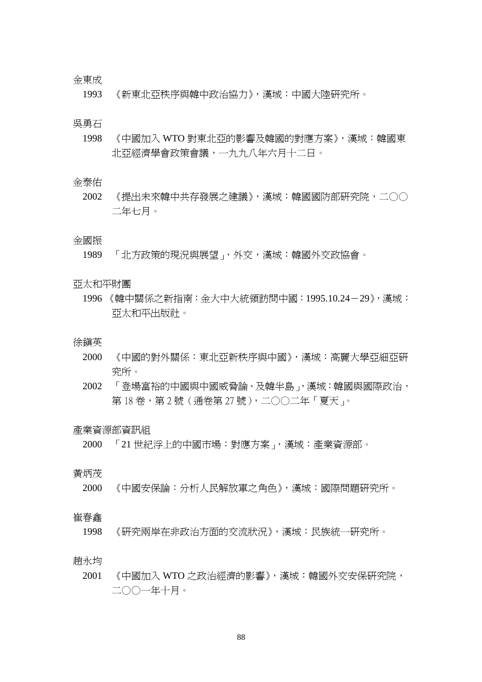## 金東成

1993 《新東北亞秩序與韓中政治協力》,漢城:中國大陸研究所。

## 吳勇石

1998 《中國加入 WTO 對東北亞的影響及韓國的對應方案》,漢城:韓國東 北亞經濟學會政策會議,一九九八年六月十二日。

## 金泰佑

2002 《提出未來韓中共存發展之建議》,漢城:韓國國防部研究院,二○○ 二年七月。

# 金國振

1989 「北方政策的現況與展望」,外交,漢城:韓國外交政協會。

## 亞太和平財團

1996 《韓中關係之新指南:金大中大統領訪問中國:1995.10.24-29》,漢城: 亞太和平出版社。

## 徐鎮英

- 2000 《中國的對外關係:東北亞新秩序與中國》,漢城:高麗大學亞細亞研 究所。
- 2002 「登場富裕的中國與中國威脅論、及韓半島」,漢城:韓國與國際政治, 第18卷,第 2號(通卷第 27號),二〇〇二年「夏天」。

## 產業資源部資訊組

2000 「21 世紀浮上的中國市場:對應方案」,漢城:產業資源部。

# 黃炳茂

- 2000 《中國安保論:分析人民解放軍之角色》,漢城:國際問題研究所。
- 崔春鑫
	- 1998 《研究兩岸在非政治方面的交流狀況》,漢城:民族統一研究所。

#### 趙永均

2001 《中國加入 WTO 之政治經濟的影響》,漢城:韓國外交安保研究院, 二○○一年十月。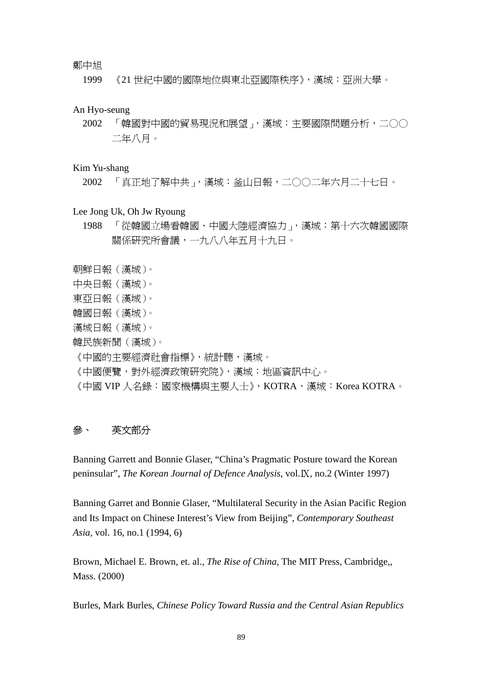# 鄭中旭

1999 《21 世紀中國的國際地位與東北亞國際秩序》,漢城:亞洲大學。

## An Hyo-seung

2002 「韓國對中國的貿易現況和展望」,漢城:主要國際問題分析,二○○ 二年八月。

# Kim Yu-shang

2002 「真正地了解中共」,漢城:釜山日報,二○○二年六月二十七日。

# Lee Jong Uk, Oh Jw Ryoung

- 1988 「從韓國立場看韓國、中國大陸經濟協力」,漢城:第十六次韓國國際 關係研究所會議,一九八八年五月十九日。
- 朝鮮日報(漢城)。
- 中央日報(漢城)。
- 東亞日報(漢城)。
- 韓國日報(漢城)。
- 漢城日報(漢城)。
- 韓民族新聞(漢城)。
- 《中國的主要經濟社會指標》,統計聽,漢城。
- 《中國便覽,對外經濟政策研究院》,漢城:地區資訊中心。
- 《中國 VIP 人名錄:國家機構與主要人士》,KOTRA,漢城:Korea KOTRA。

# 參、 英文部分

Banning Garrett and Bonnie Glaser, "China's Pragmatic Posture toward the Korean peninsular", *The Korean Journal of Defence Analysis*, vol.Ⅸ, no.2 (Winter 1997)

Banning Garret and Bonnie Glaser, "Multilateral Security in the Asian Pacific Region and Its Impact on Chinese Interest's View from Beijing", *Contemporary Southeast Asia*, vol. 16, no.1 (1994, 6)

Brown, Michael E. Brown, et. al., *The Rise of China*, The MIT Press, Cambridge,, Mass. (2000)

Burles, Mark Burles, *Chinese Policy Toward Russia and the Central Asian Republics*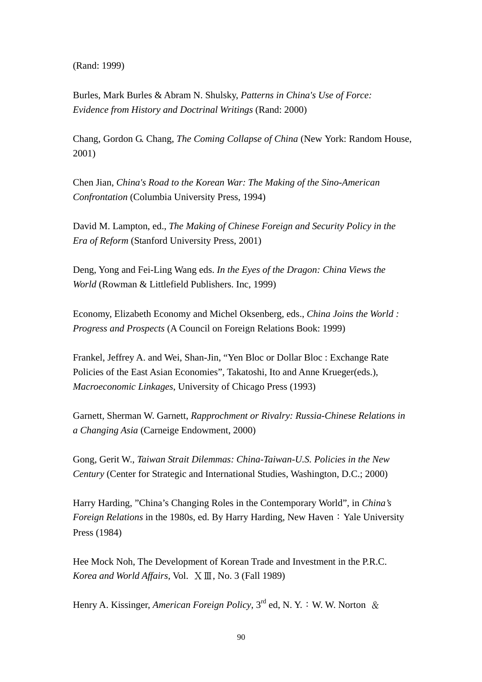(Rand: 1999)

Burles, Mark Burles & Abram N. Shulsky, *Patterns in China's Use of Force: Evidence from History and Doctrinal Writings* (Rand: 2000)

Chang, Gordon G. Chang, *The Coming Collapse of China* (New York: Random House, 2001)

Chen Jian, *China's Road to the Korean War: The Making of the Sino-American Confrontation* (Columbia University Press, 1994)

David M. Lampton, ed., *The Making of Chinese Foreign and Security Policy in the Era of Reform* (Stanford University Press, 2001)

Deng, Yong and Fei-Ling Wang eds. *In the Eyes of the Dragon: China Views the World* (Rowman & Littlefield Publishers. Inc, 1999)

Economy, Elizabeth Economy and Michel Oksenberg, eds., *China Joins the World : Progress and Prospects* (A Council on Foreign Relations Book: 1999)

Frankel, Jeffrey A. and Wei, Shan-Jin, "Yen Bloc or Dollar Bloc : Exchange Rate Policies of the East Asian Economies", Takatoshi, Ito and Anne Krueger(eds.), *Macroeconomic Linkages*, University of Chicago Press (1993)

Garnett, Sherman W. Garnett, *Rapprochment or Rivalry: Russia-Chinese Relations in a Changing Asia* (Carneige Endowment, 2000)

Gong, Gerit W., *Taiwan Strait Dilemmas: China-Taiwan-U.S. Policies in the New Century* (Center for Strategic and International Studies, Washington, D.C.; 2000)

Harry Harding, "China's Changing Roles in the Contemporary World", in *China's Foreign Relations* in the 1980s, ed. By Harry Harding, New Haven: Yale University Press (1984)

Hee Mock Noh, The Development of Korean Trade and Investment in the P.R.C. *Korea and World Affairs*, Vol. ⅩⅢ, No. 3 (Fall 1989)

Henry A. Kissinger, *American Foreign Policy*,  $3^{rd}$  ed, N. Y. : W. W. Norton &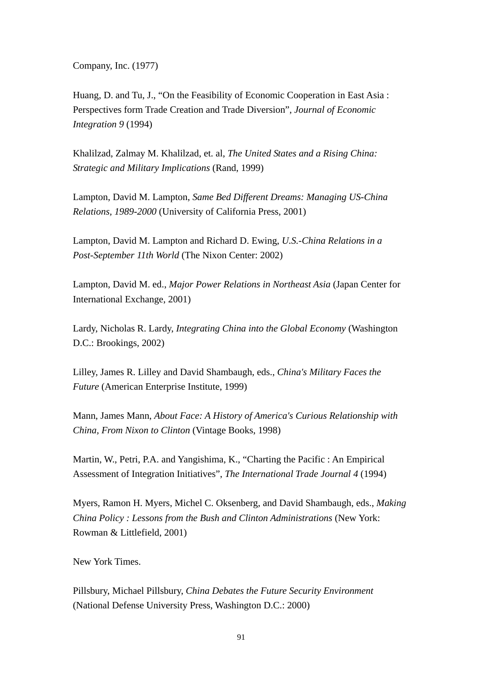Company, Inc. (1977)

Huang, D. and Tu, J., "On the Feasibility of Economic Cooperation in East Asia : Perspectives form Trade Creation and Trade Diversion", *Journal of Economic Integration 9* (1994)

Khalilzad, Zalmay M. Khalilzad, et. al, *The United States and a Rising China: Strategic and Military Implications* (Rand, 1999)

Lampton, David M. Lampton, *Same Bed Different Dreams: Managing US-China Relations, 1989-2000* (University of California Press, 2001)

Lampton, David M. Lampton and Richard D. Ewing, *U.S.-China Relations in a Post-September 11th World* (The Nixon Center: 2002)

Lampton, David M. ed., *Major Power Relations in Northeast Asia* (Japan Center for International Exchange, 2001)

Lardy, Nicholas R. Lardy, *Integrating China into the Global Economy* (Washington D.C.: Brookings, 2002)

Lilley, James R. Lilley and David Shambaugh, eds., *China's Military Faces the Future* (American Enterprise Institute, 1999)

Mann, James Mann, *About Face: A History of America's Curious Relationship with China, From Nixon to Clinton* (Vintage Books, 1998)

Martin, W., Petri, P.A. and Yangishima, K., "Charting the Pacific : An Empirical Assessment of Integration Initiatives", *The International Trade Journal 4* (1994)

Myers, Ramon H. Myers, Michel C. Oksenberg, and David Shambaugh, eds., *Making China Policy : Lessons from the Bush and Clinton Administrations* (New York: Rowman & Littlefield, 2001)

New York Times.

Pillsbury, Michael Pillsbury, *China Debates the Future Security Environment* (National Defense University Press, Washington D.C.: 2000)